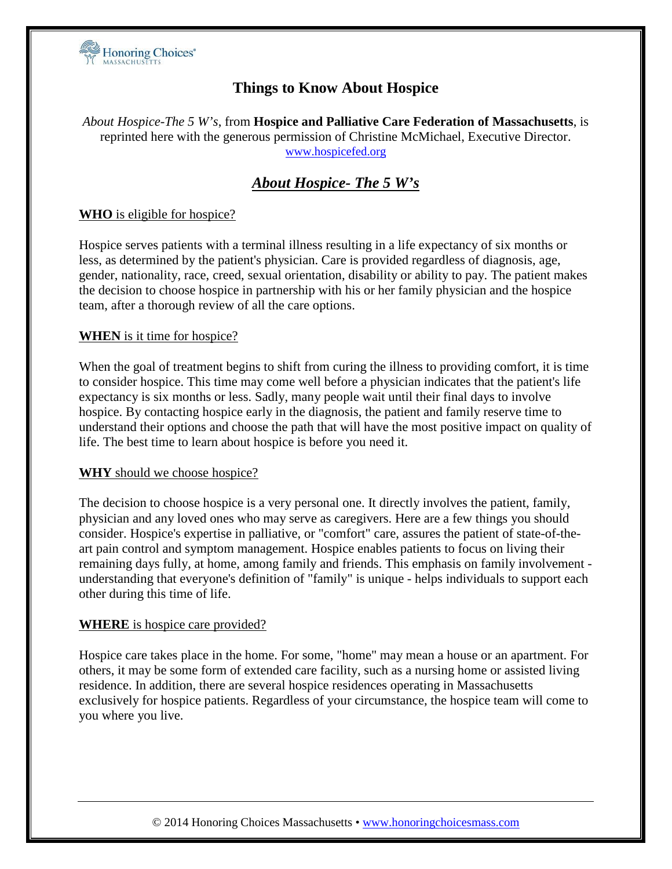

## **Things to Know About Hospice**

*About Hospice-The 5 W's*, from **Hospice and Palliative Care Federation of Massachusetts**, is reprinted here with the generous permission of Christine McMichael, Executive Director. [www.hospicefed.org](http://www.hospicefed.org/)

# *About Hospice- The 5 W's*

## **WHO** is eligible for hospice?

Hospice serves patients with a terminal illness resulting in a life expectancy of six months or less, as determined by the patient's physician. Care is provided regardless of diagnosis, age, gender, nationality, race, creed, sexual orientation, disability or ability to pay. The patient makes the decision to choose hospice in partnership with his or her family physician and the hospice team, after a thorough review of all the care options.

#### **WHEN** is it time for hospice?

When the goal of treatment begins to shift from curing the illness to providing comfort, it is time to consider hospice. This time may come well before a physician indicates that the patient's life expectancy is six months or less. Sadly, many people wait until their final days to involve hospice. By contacting hospice early in the diagnosis, the patient and family reserve time to understand their options and choose the path that will have the most positive impact on quality of life. The best time to learn about hospice is before you need it.

#### **WHY** should we choose hospice?

The decision to choose hospice is a very personal one. It directly involves the patient, family, physician and any loved ones who may serve as caregivers. Here are a few things you should consider. Hospice's expertise in palliative, or "comfort" care, assures the patient of state-of-theart pain control and symptom management. Hospice enables patients to focus on living their remaining days fully, at home, among family and friends. This emphasis on family involvement understanding that everyone's definition of "family" is unique - helps individuals to support each other during this time of life.

#### **WHERE** is hospice care provided?

Hospice care takes place in the home. For some, "home" may mean a house or an apartment. For others, it may be some form of extended care facility, such as a nursing home or assisted living residence. In addition, there are several hospice residences operating in Massachusetts exclusively for hospice patients. Regardless of your circumstance, the hospice team will come to you where you live.